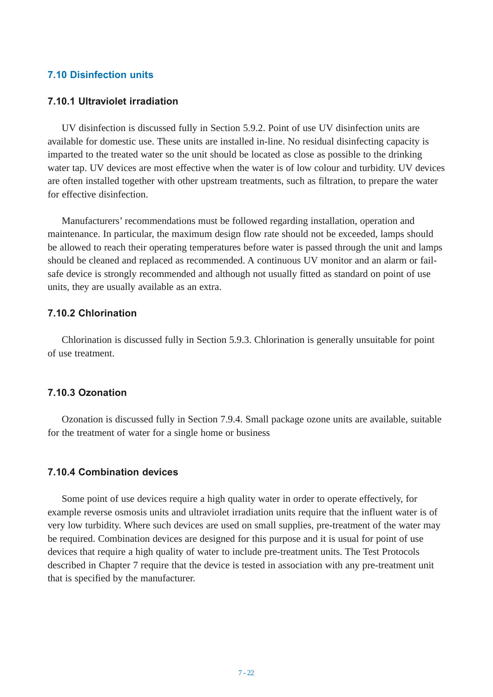## **7.10 Disinfection units**

### **7.10.1 Ultraviolet irradiation**

UV disinfection is discussed fully in Section 5.9.2. Point of use UV disinfection units are available for domestic use. These units are installed in-line. No residual disinfecting capacity is imparted to the treated water so the unit should be located as close as possible to the drinking water tap. UV devices are most effective when the water is of low colour and turbidity. UV devices are often installed together with other upstream treatments, such as filtration, to prepare the water for effective disinfection.

Manufacturers' recommendations must be followed regarding installation, operation and maintenance. In particular, the maximum design flow rate should not be exceeded, lamps should be allowed to reach their operating temperatures before water is passed through the unit and lamps should be cleaned and replaced as recommended. A continuous UV monitor and an alarm or failsafe device is strongly recommended and although not usually fitted as standard on point of use units, they are usually available as an extra.

# **7.10.2 Chlorination**

Chlorination is discussed fully in Section 5.9.3. Chlorination is generally unsuitable for point of use treatment.

#### **7.10.3 Ozonation**

Ozonation is discussed fully in Section 7.9.4. Small package ozone units are available, suitable for the treatment of water for a single home or business

#### **7.10.4 Combination devices**

Some point of use devices require a high quality water in order to operate effectively, for example reverse osmosis units and ultraviolet irradiation units require that the influent water is of very low turbidity. Where such devices are used on small supplies, pre-treatment of the water may be required. Combination devices are designed for this purpose and it is usual for point of use devices that require a high quality of water to include pre-treatment units. The Test Protocols described in Chapter 7 require that the device is tested in association with any pre-treatment unit that is specified by the manufacturer.